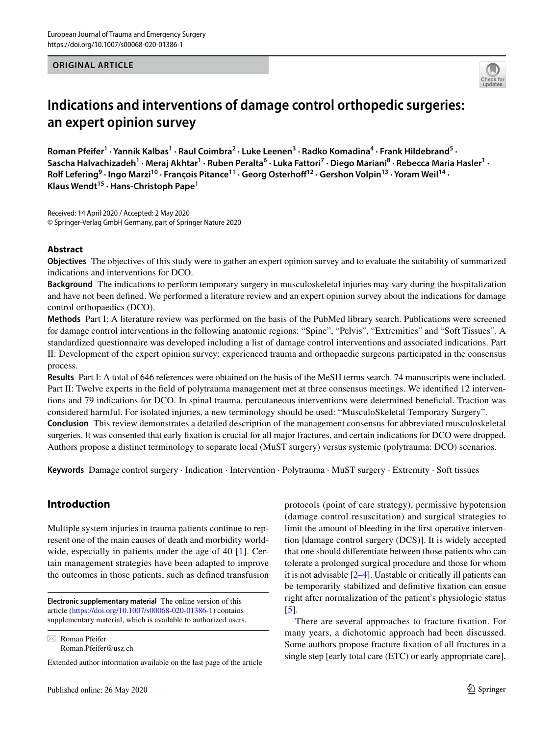**ORIGINAL ARTICLE**



# **Indications and interventions of damage control orthopedic surgeries: an expert opinion survey**

Roman Pfeifer<sup>1</sup> · Yannik Kalbas<sup>1</sup> · Raul Coimbra<sup>2</sup> · Luke Leenen<sup>3</sup> · Radko Komadina<sup>4</sup> · Frank Hildebrand<sup>5</sup> · Sascha Halvachizadeh<sup>1</sup> · Meraj Akhtar<sup>1</sup> · Ruben Peralta<sup>6</sup> · Luka Fattori<sup>7</sup> · Diego Mariani<sup>8</sup> · Rebecca Maria Hasler<sup>1</sup> · Rolf Lefering<sup>9</sup> · Ingo Marzi<sup>10</sup> · François Pitance<sup>11</sup> · Georg Osterhoff<sup>12</sup> · Gershon Volpin<sup>13</sup> · Yoram Weil<sup>14</sup> · **Klaus Wendt15 · Hans‑Christoph Pape1**

Received: 14 April 2020 / Accepted: 2 May 2020 © Springer-Verlag GmbH Germany, part of Springer Nature 2020

## **Abstract**

**Objectives** The objectives of this study were to gather an expert opinion survey and to evaluate the suitability of summarized indications and interventions for DCO.

**Background** The indications to perform temporary surgery in musculoskeletal injuries may vary during the hospitalization and have not been defned. We performed a literature review and an expert opinion survey about the indications for damage control orthopaedics (DCO).

**Methods** Part I: A literature review was performed on the basis of the PubMed library search. Publications were screened for damage control interventions in the following anatomic regions: "Spine", "Pelvis", "Extremities" and "Soft Tissues". A standardized questionnaire was developed including a list of damage control interventions and associated indications. Part II: Development of the expert opinion survey: experienced trauma and orthopaedic surgeons participated in the consensus process.

**Results** Part I: A total of 646 references were obtained on the basis of the MeSH terms search. 74 manuscripts were included. Part II: Twelve experts in the feld of polytrauma management met at three consensus meetings. We identifed 12 interventions and 79 indications for DCO. In spinal trauma, percutaneous interventions were determined benefcial. Traction was considered harmful. For isolated injuries, a new terminology should be used: "MusculoSkeletal Temporary Surgery". **Conclusion** This review demonstrates a detailed description of the management consensus for abbreviated musculoskeletal surgeries. It was consented that early fxation is crucial for all major fractures, and certain indications for DCO were dropped. Authors propose a distinct terminology to separate local (MuST surgery) versus systemic (polytrauma: DCO) scenarios.

**Keywords** Damage control surgery · Indication · Intervention · Polytrauma · MuST surgery · Extremity · Soft tissues

# **Introduction**

Multiple system injuries in trauma patients continue to represent one of the main causes of death and morbidity worldwide, especially in patients under the age of 40 [[1\]](#page-9-0). Certain management strategies have been adapted to improve the outcomes in those patients, such as defned transfusion

 $\boxtimes$  Roman Pfeifer Roman.Pfeifer@usz.ch protocols (point of care strategy), permissive hypotension (damage control resuscitation) and surgical strategies to limit the amount of bleeding in the frst operative intervention [damage control surgery (DCS)]. It is widely accepted that one should diferentiate between those patients who can tolerate a prolonged surgical procedure and those for whom it is not advisable [[2–](#page-9-1)[4\]](#page-9-2). Unstable or critically ill patients can be temporarily stabilized and defnitive fxation can ensue right after normalization of the patient's physiologic status [[5\]](#page-9-3).

There are several approaches to fracture fxation. For many years, a dichotomic approach had been discussed. Some authors propose fracture fxation of all fractures in a single step [early total care (ETC) or early appropriate care],

**Electronic supplementary material** The online version of this article [\(https://doi.org/10.1007/s00068-020-01386-1\)](https://doi.org/10.1007/s00068-020-01386-1) contains supplementary material, which is available to authorized users.

Extended author information available on the last page of the article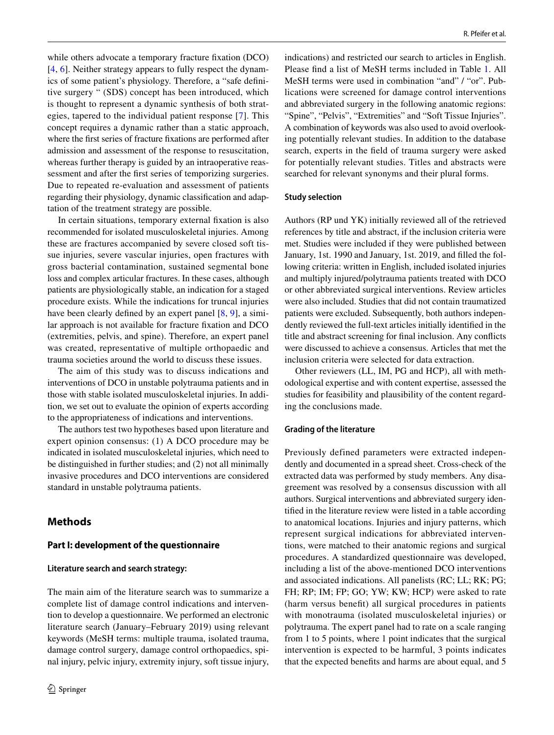while others advocate a temporary fracture fxation (DCO) [\[4](#page-9-2), [6\]](#page-9-4). Neither strategy appears to fully respect the dynamics of some patient's physiology. Therefore, a "safe defnitive surgery " (SDS) concept has been introduced, which is thought to represent a dynamic synthesis of both strategies, tapered to the individual patient response [[7\]](#page-9-5). This concept requires a dynamic rather than a static approach, where the frst series of fracture fxations are performed after admission and assessment of the response to resuscitation, whereas further therapy is guided by an intraoperative reassessment and after the frst series of temporizing surgeries. Due to repeated re-evaluation and assessment of patients regarding their physiology, dynamic classifcation and adaptation of the treatment strategy are possible.

In certain situations, temporary external fxation is also recommended for isolated musculoskeletal injuries. Among these are fractures accompanied by severe closed soft tissue injuries, severe vascular injuries, open fractures with gross bacterial contamination, sustained segmental bone loss and complex articular fractures. In these cases, although patients are physiologically stable, an indication for a staged procedure exists. While the indications for truncal injuries have been clearly defined by an expert panel  $[8, 9]$  $[8, 9]$  $[8, 9]$ , a similar approach is not available for fracture fxation and DCO (extremities, pelvis, and spine). Therefore, an expert panel was created, representative of multiple orthopaedic and trauma societies around the world to discuss these issues.

The aim of this study was to discuss indications and interventions of DCO in unstable polytrauma patients and in those with stable isolated musculoskeletal injuries. In addition, we set out to evaluate the opinion of experts according to the appropriateness of indications and interventions.

The authors test two hypotheses based upon literature and expert opinion consensus: (1) A DCO procedure may be indicated in isolated musculoskeletal injuries, which need to be distinguished in further studies; and (2) not all minimally invasive procedures and DCO interventions are considered standard in unstable polytrauma patients.

# **Methods**

# **Part I: development of the questionnaire**

# **Literature search and search strategy:**

indications) and restricted our search to articles in English. Please fnd a list of MeSH terms included in Table [1.](#page-2-0) All MeSH terms were used in combination "and" / "or". Publications were screened for damage control interventions and abbreviated surgery in the following anatomic regions: "Spine", "Pelvis", "Extremities" and "Soft Tissue Injuries". A combination of keywords was also used to avoid overlooking potentially relevant studies. In addition to the database search, experts in the feld of trauma surgery were asked for potentially relevant studies. Titles and abstracts were searched for relevant synonyms and their plural forms.

#### **Study selection**

Authors (RP und YK) initially reviewed all of the retrieved references by title and abstract, if the inclusion criteria were met. Studies were included if they were published between January, 1st. 1990 and January, 1st. 2019, and flled the following criteria: written in English, included isolated injuries and multiply injured/polytrauma patients treated with DCO or other abbreviated surgical interventions. Review articles were also included. Studies that did not contain traumatized patients were excluded. Subsequently, both authors independently reviewed the full-text articles initially identifed in the title and abstract screening for fnal inclusion. Any conficts were discussed to achieve a consensus. Articles that met the inclusion criteria were selected for data extraction.

Other reviewers (LL, IM, PG and HCP), all with methodological expertise and with content expertise, assessed the studies for feasibility and plausibility of the content regarding the conclusions made.

#### **Grading of the literature**

Previously defined parameters were extracted independently and documented in a spread sheet. Cross-check of the extracted data was performed by study members. Any disagreement was resolved by a consensus discussion with all authors. Surgical interventions and abbreviated surgery identifed in the literature review were listed in a table according to anatomical locations. Injuries and injury patterns, which represent surgical indications for abbreviated interventions, were matched to their anatomic regions and surgical procedures. A standardized questionnaire was developed, including a list of the above-mentioned DCO interventions and associated indications. All panelists (RC; LL; RK; PG; FH; RP; IM; FP; GO; YW; KW; HCP) were asked to rate (harm versus beneft) all surgical procedures in patients with monotrauma (isolated musculoskeletal injuries) or polytrauma. The expert panel had to rate on a scale ranging from 1 to 5 points, where 1 point indicates that the surgical intervention is expected to be harmful, 3 points indicates that the expected benefts and harms are about equal, and 5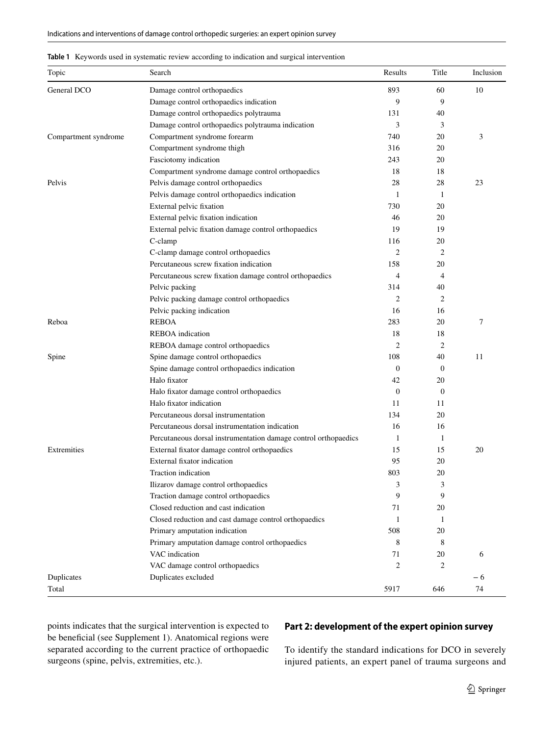| Topic                | Search                                                          | Results        | Title            | Inclusion |
|----------------------|-----------------------------------------------------------------|----------------|------------------|-----------|
| General DCO          | Damage control orthopaedics                                     | 893            | 60               | 10        |
|                      | Damage control orthopaedics indication                          | 9              | 9                |           |
|                      | Damage control orthopaedics polytrauma                          | 131            | 40               |           |
|                      | Damage control orthopaedics polytrauma indication               | 3              | 3                |           |
| Compartment syndrome | Compartment syndrome forearm                                    | 740            | 20               | 3         |
|                      | Compartment syndrome thigh                                      | 316            | 20               |           |
|                      | Fasciotomy indication                                           | 243            | 20               |           |
|                      | Compartment syndrome damage control orthopaedics                | 18             | 18               |           |
| Pelvis               | Pelvis damage control orthopaedics                              | 28             | 28               | 23        |
|                      | Pelvis damage control orthopaedics indication                   | 1              | 1                |           |
|                      | External pelvic fixation                                        | 730            | 20               |           |
|                      | External pelvic fixation indication                             | 46             | 20               |           |
|                      | External pelvic fixation damage control orthopaedics            | 19             | 19               |           |
|                      | C-clamp                                                         | 116            | 20               |           |
|                      | C-clamp damage control orthopaedics                             | $\overline{c}$ | $\overline{2}$   |           |
|                      | Percutaneous screw fixation indication                          | 158            | 20               |           |
|                      | Percutaneous screw fixation damage control orthopaedics         | 4              | 4                |           |
|                      | Pelvic packing                                                  | 314            | 40               |           |
|                      | Pelvic packing damage control orthopaedics                      | 2              | 2                |           |
|                      | Pelvic packing indication                                       | 16             | 16               |           |
| Reboa                | <b>REBOA</b>                                                    | 283            | 20               | 7         |
|                      | REBOA indication                                                | 18             | 18               |           |
|                      | REBOA damage control orthopaedics                               | 2              | 2                |           |
| Spine                | Spine damage control orthopaedics                               | 108            | 40               | 11        |
|                      | Spine damage control orthopaedics indication                    | $\theta$       | $\boldsymbol{0}$ |           |
|                      | Halo fixator                                                    | 42             | 20               |           |
|                      | Halo fixator damage control orthopaedics                        | $\mathbf{0}$   | $\mathbf{0}$     |           |
|                      | Halo fixator indication                                         | 11             | 11               |           |
|                      | Percutaneous dorsal instrumentation                             | 134            | 20               |           |
|                      | Percutaneous dorsal instrumentation indication                  | 16             | 16               |           |
|                      | Percutaneous dorsal instrumentation damage control orthopaedics | 1              | 1                |           |
| Extremities          | External fixator damage control orthopaedics                    | 15             | 15               | 20        |
|                      | External fixator indication                                     | 95             | 20               |           |
|                      | Traction indication                                             | 803            | 20               |           |
|                      | Ilizarov damage control orthopaedics                            | 3              | 3                |           |
|                      | Traction damage control orthopaedics                            | 9              | 9                |           |
|                      | Closed reduction and cast indication                            | 71             | 20               |           |
|                      | Closed reduction and cast damage control orthopaedics           | 1              | 1                |           |
|                      | Primary amputation indication                                   | 508            | 20               |           |
|                      | Primary amputation damage control orthopaedics                  | 8              | 8                |           |
|                      | VAC indication                                                  | 71             | 20               | 6         |
|                      | VAC damage control orthopaedics                                 | 2              | 2                |           |
| Duplicates           | Duplicates excluded                                             |                |                  | - 6       |
| Total                |                                                                 | 5917           | 646              | 74        |

<span id="page-2-0"></span>

|  |  |  |  |  |  |  |  |  | Table 1 Keywords used in systematic review according to indication and surgical intervention |
|--|--|--|--|--|--|--|--|--|----------------------------------------------------------------------------------------------|
|--|--|--|--|--|--|--|--|--|----------------------------------------------------------------------------------------------|

points indicates that the surgical intervention is expected to be beneficial (see Supplement 1). Anatomical regions were separated according to the current practice of orthopaedic surgeons (spine, pelvis, extremities, etc.).

# **Part 2: development of the expert opinion survey**

To identify the standard indications for DCO in severely injured patients, an expert panel of trauma surgeons and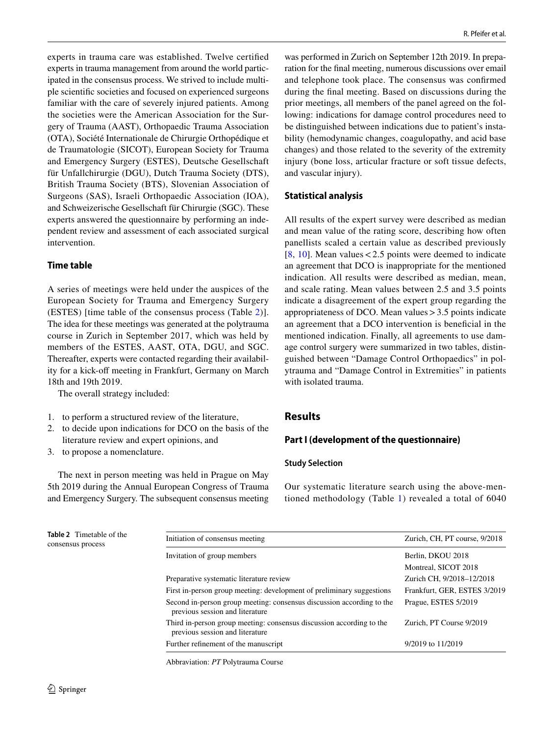experts in trauma care was established. Twelve certifed experts in trauma management from around the world participated in the consensus process. We strived to include multiple scientifc societies and focused on experienced surgeons familiar with the care of severely injured patients. Among the societies were the American Association for the Surgery of Trauma (AAST), Orthopaedic Trauma Association (OTA), Société Internationale de Chirurgie Orthopédique et de Traumatologie (SICOT), European Society for Trauma and Emergency Surgery (ESTES), Deutsche Gesellschaft für Unfallchirurgie (DGU), Dutch Trauma Society (DTS), British Trauma Society (BTS), Slovenian Association of Surgeons (SAS), Israeli Orthopaedic Association (IOA), and Schweizerische Gesellschaft für Chirurgie (SGC). These experts answered the questionnaire by performing an independent review and assessment of each associated surgical intervention.

## **Time table**

A series of meetings were held under the auspices of the European Society for Trauma and Emergency Surgery (ESTES) [time table of the consensus process (Table [2\)](#page-3-0)]. The idea for these meetings was generated at the polytrauma course in Zurich in September 2017, which was held by members of the ESTES, AAST, OTA, DGU, and SGC. Thereafter, experts were contacted regarding their availability for a kick-off meeting in Frankfurt, Germany on March 18th and 19th 2019.

The overall strategy included:

- 1. to perform a structured review of the literature,
- 2. to decide upon indications for DCO on the basis of the literature review and expert opinions, and
- 3. to propose a nomenclature.

The next in person meeting was held in Prague on May 5th 2019 during the Annual European Congress of Trauma and Emergency Surgery. The subsequent consensus meeting

was performed in Zurich on September 12th 2019. In preparation for the fnal meeting, numerous discussions over email and telephone took place. The consensus was confrmed during the fnal meeting. Based on discussions during the prior meetings, all members of the panel agreed on the following: indications for damage control procedures need to be distinguished between indications due to patient's instability (hemodynamic changes, coagulopathy, and acid base changes) and those related to the severity of the extremity injury (bone loss, articular fracture or soft tissue defects, and vascular injury).

## **Statistical analysis**

All results of the expert survey were described as median and mean value of the rating score, describing how often panellists scaled a certain value as described previously  $[8, 10]$  $[8, 10]$  $[8, 10]$  $[8, 10]$  $[8, 10]$ . Mean values < 2.5 points were deemed to indicate an agreement that DCO is inappropriate for the mentioned indication. All results were described as median, mean, and scale rating. Mean values between 2.5 and 3.5 points indicate a disagreement of the expert group regarding the appropriateness of DCO. Mean values  $> 3.5$  points indicate an agreement that a DCO intervention is benefcial in the mentioned indication. Finally, all agreements to use damage control surgery were summarized in two tables, distinguished between "Damage Control Orthopaedics" in polytrauma and "Damage Control in Extremities" in patients with isolated trauma.

# **Results**

# **Part I (development of the questionnaire)**

#### **Study Selection**

Our systematic literature search using the above-mentioned methodology (Table [1](#page-2-0)) revealed a total of 6040

| Timetable of the<br>us process | Initiation of consensus meeting                                                                          | Zurich, CH, PT course, 9/2018 |  |
|--------------------------------|----------------------------------------------------------------------------------------------------------|-------------------------------|--|
|                                | Invitation of group members                                                                              | Berlin, DKOU 2018             |  |
|                                |                                                                                                          | Montreal, SICOT 2018          |  |
|                                | Preparative systematic literature review                                                                 | Zurich CH, 9/2018-12/2018     |  |
|                                | First in-person group meeting: development of preliminary suggestions                                    | Frankfurt, GER, ESTES 3/2019  |  |
|                                | Second in-person group meeting: consensus discussion according to the<br>previous session and literature | Prague, ESTES 5/2019          |  |
|                                | Third in-person group meeting: consensus discussion according to the<br>previous session and literature  | Zurich, PT Course 9/2019      |  |
|                                | Further refinement of the manuscript                                                                     | 9/2019 to 11/2019             |  |
|                                | Abbraviation: PT Polytrauma Course                                                                       |                               |  |

<span id="page-3-0"></span>**Table** 2 consens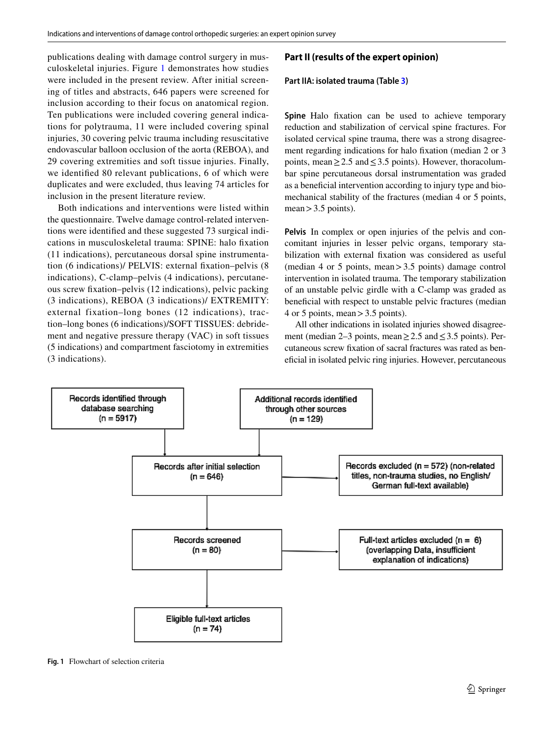publications dealing with damage control surgery in musculoskeletal injuries. Figure [1](#page-4-0) demonstrates how studies were included in the present review. After initial screening of titles and abstracts, 646 papers were screened for inclusion according to their focus on anatomical region. Ten publications were included covering general indications for polytrauma, 11 were included covering spinal injuries, 30 covering pelvic trauma including resuscitative endovascular balloon occlusion of the aorta (REBOA), and 29 covering extremities and soft tissue injuries. Finally, we identifed 80 relevant publications, 6 of which were duplicates and were excluded, thus leaving 74 articles for inclusion in the present literature review.

Both indications and interventions were listed within the questionnaire. Twelve damage control-related interventions were identifed and these suggested 73 surgical indications in musculoskeletal trauma: SPINE: halo fxation (11 indications), percutaneous dorsal spine instrumentation (6 indications)/ PELVIS: external fxation–pelvis (8 indications), C-clamp–pelvis (4 indications), percutaneous screw fxation–pelvis (12 indications), pelvic packing (3 indications), REBOA (3 indications)/ EXTREMITY: external fixation–long bones (12 indications), traction–long bones (6 indications)/SOFT TISSUES: debridement and negative pressure therapy (VAC) in soft tissues (5 indications) and compartment fasciotomy in extremities (3 indications).

#### **Part II (results of the expert opinion)**

#### **Part IIA: isolated trauma (Table [3](#page-5-0))**

Spine Halo fixation can be used to achieve temporary reduction and stabilization of cervical spine fractures. For isolated cervical spine trauma, there was a strong disagreement regarding indications for halo fxation (median 2 or 3 points, mean  $\geq$  2.5 and  $\leq$  3.5 points). However, thoracolumbar spine percutaneous dorsal instrumentation was graded as a benefcial intervention according to injury type and biomechanical stability of the fractures (median 4 or 5 points,  $mean > 3.5$  points).

**Pelvis** In complex or open injuries of the pelvis and concomitant injuries in lesser pelvic organs, temporary stabilization with external fxation was considered as useful (median 4 or 5 points, mean>3.5 points) damage control intervention in isolated trauma. The temporary stabilization of an unstable pelvic girdle with a C-clamp was graded as benefcial with respect to unstable pelvic fractures (median 4 or 5 points, mean>3.5 points).

All other indications in isolated injuries showed disagreement (median 2–3 points, mean  $\geq 2.5$  and  $\leq 3.5$  points). Percutaneous screw fxation of sacral fractures was rated as benefcial in isolated pelvic ring injuries. However, percutaneous



<span id="page-4-0"></span>**Fig. 1** Flowchart of selection criteria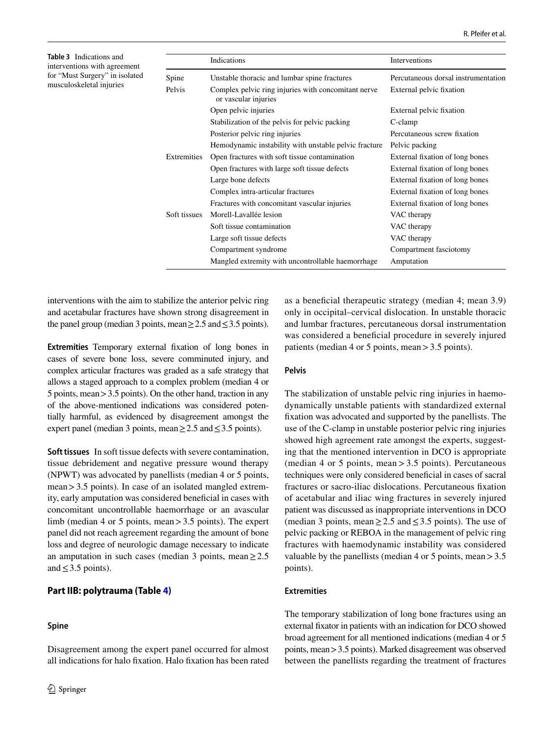<span id="page-5-0"></span>

| <b>Table 3</b> Indications and<br>interventions with agreement |              | Indications                                                                 | Interventions                       |
|----------------------------------------------------------------|--------------|-----------------------------------------------------------------------------|-------------------------------------|
| for "Must Surgery" in isolated<br>musculoskeletal injuries     | Spine        | Unstable thoracic and lumbar spine fractures                                | Percutaneous dorsal instrumentation |
|                                                                | Pelvis       | Complex pelvic ring injuries with concomitant nerve<br>or vascular injuries | External pelvic fixation            |
|                                                                |              | Open pelvic injuries                                                        | External pelvic fixation            |
|                                                                |              | Stabilization of the pelvis for pelvic packing                              | C-clamp                             |
|                                                                |              | Posterior pelvic ring injuries                                              | Percutaneous screw fixation         |
|                                                                |              | Hemodynamic instability with unstable pelvic fracture                       | Pelvic packing                      |
|                                                                | Extremities  | Open fractures with soft tissue contamination                               | External fixation of long bones     |
|                                                                |              | Open fractures with large soft tissue defects                               | External fixation of long bones     |
|                                                                |              | Large bone defects                                                          | External fixation of long bones     |
|                                                                |              | Complex intra-articular fractures                                           | External fixation of long bones     |
|                                                                |              | Fractures with concomitant vascular injuries                                | External fixation of long bones     |
|                                                                | Soft tissues | Morell-Lavallée lesion                                                      | VAC therapy                         |
|                                                                |              | Soft tissue contamination                                                   | VAC therapy                         |
|                                                                |              | Large soft tissue defects                                                   | VAC therapy                         |
|                                                                |              | Compartment syndrome                                                        | Compartment fasciotomy              |
|                                                                |              | Mangled extremity with uncontrollable haemorrhage                           | Amputation                          |

interventions with the aim to stabilize the anterior pelvic ring and acetabular fractures have shown strong disagreement in the panel group (median 3 points, mean≥2.5 and≤3.5 points).

**Extremities** Temporary external fxation of long bones in cases of severe bone loss, severe comminuted injury, and complex articular fractures was graded as a safe strategy that allows a staged approach to a complex problem (median 4 or 5 points, mean>3.5 points). On the other hand, traction in any of the above-mentioned indications was considered potentially harmful, as evidenced by disagreement amongst the expert panel (median 3 points, mean $\geq 2.5$  and  $\leq 3.5$  points).

**Soft tissues** In soft tissue defects with severe contamination, tissue debridement and negative pressure wound therapy (NPWT) was advocated by panellists (median 4 or 5 points, mean > 3.5 points). In case of an isolated mangled extremity, early amputation was considered beneficial in cases with concomitant uncontrollable haemorrhage or an avascular limb (median 4 or 5 points, mean>3.5 points). The expert panel did not reach agreement regarding the amount of bone loss and degree of neurologic damage necessary to indicate an amputation in such cases (median 3 points, mean  $\geq 2.5$ and  $\leq$  3.5 points).

# **Part IIB: polytrauma (Table [4\)](#page-6-0)**

# **Spine**

Disagreement among the expert panel occurred for almost all indications for halo fxation. Halo fxation has been rated as a benefcial therapeutic strategy (median 4; mean 3.9) only in occipital–cervical dislocation. In unstable thoracic and lumbar fractures, percutaneous dorsal instrumentation was considered a benefcial procedure in severely injured patients (median 4 or 5 points, mean>3.5 points).

#### **Pelvis**

The stabilization of unstable pelvic ring injuries in haemodynamically unstable patients with standardized external fxation was advocated and supported by the panellists. The use of the C-clamp in unstable posterior pelvic ring injuries showed high agreement rate amongst the experts, suggesting that the mentioned intervention in DCO is appropriate (median 4 or 5 points, mean  $> 3.5$  points). Percutaneous techniques were only considered benefcial in cases of sacral fractures or sacro-iliac dislocations. Percutaneous fxation of acetabular and iliac wing fractures in severely injured patient was discussed as inappropriate interventions in DCO (median 3 points, mean  $\geq 2.5$  and  $\leq 3.5$  points). The use of pelvic packing or REBOA in the management of pelvic ring fractures with haemodynamic instability was considered valuable by the panellists (median 4 or 5 points, mean>3.5 points).

#### **Extremities**

The temporary stabilization of long bone fractures using an external fxator in patients with an indication for DCO showed broad agreement for all mentioned indications (median 4 or 5 points, mean>3.5 points). Marked disagreement was observed between the panellists regarding the treatment of fractures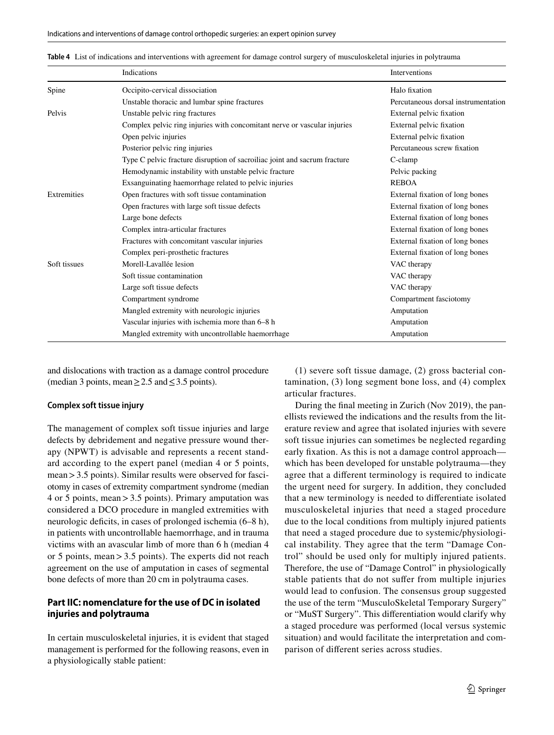|              | Indications                                                               | Interventions                       |
|--------------|---------------------------------------------------------------------------|-------------------------------------|
| Spine        | Occipito-cervical dissociation                                            | Halo fixation                       |
|              | Unstable thoracic and lumbar spine fractures                              | Percutaneous dorsal instrumentation |
| Pelvis       | Unstable pelvic ring fractures                                            | External pelvic fixation            |
|              | Complex pelvic ring injuries with concomitant nerve or vascular injuries  | External pelvic fixation            |
|              | Open pelvic injuries                                                      | External pelvic fixation            |
|              | Posterior pelvic ring injuries                                            | Percutaneous screw fixation         |
|              | Type C pelvic fracture disruption of sacroiliac joint and sacrum fracture | C-clamp                             |
|              | Hemodynamic instability with unstable pelvic fracture                     | Pelvic packing                      |
|              | Exsanguinating haemorrhage related to pelvic injuries                     | <b>REBOA</b>                        |
| Extremities  | Open fractures with soft tissue contamination                             | External fixation of long bones     |
|              | Open fractures with large soft tissue defects                             | External fixation of long bones     |
|              | Large bone defects                                                        | External fixation of long bones     |
|              | Complex intra-articular fractures                                         | External fixation of long bones     |
|              | Fractures with concomitant vascular injuries                              | External fixation of long bones     |
|              | Complex peri-prosthetic fractures                                         | External fixation of long bones     |
| Soft tissues | Morell-Lavallée lesion                                                    | VAC therapy                         |
|              | Soft tissue contamination                                                 | VAC therapy                         |
|              | Large soft tissue defects                                                 | VAC therapy                         |
|              | Compartment syndrome                                                      | Compartment fasciotomy              |
|              | Mangled extremity with neurologic injuries                                | Amputation                          |
|              | Vascular injuries with ischemia more than 6–8 h                           | Amputation                          |
|              | Mangled extremity with uncontrollable haemorrhage                         | Amputation                          |

<span id="page-6-0"></span>**Table 4** List of indications and interventions with agreement for damage control surgery of musculoskeletal injuries in polytrauma

and dislocations with traction as a damage control procedure (median 3 points, mean  $\geq$  2.5 and  $\leq$  3.5 points).

#### **Complex soft tissue injury**

The management of complex soft tissue injuries and large defects by debridement and negative pressure wound therapy (NPWT) is advisable and represents a recent standard according to the expert panel (median 4 or 5 points, mean>3.5 points). Similar results were observed for fasciotomy in cases of extremity compartment syndrome (median 4 or 5 points, mean>3.5 points). Primary amputation was considered a DCO procedure in mangled extremities with neurologic deficits, in cases of prolonged ischemia (6–8 h), in patients with uncontrollable haemorrhage, and in trauma victims with an avascular limb of more than 6 h (median 4 or 5 points, mean>3.5 points). The experts did not reach agreement on the use of amputation in cases of segmental bone defects of more than 20 cm in polytrauma cases.

# **Part IIC: nomenclature for the use of DC in isolated injuries and polytrauma**

In certain musculoskeletal injuries, it is evident that staged management is performed for the following reasons, even in a physiologically stable patient:

(1) severe soft tissue damage, (2) gross bacterial contamination, (3) long segment bone loss, and (4) complex articular fractures.

During the fnal meeting in Zurich (Nov 2019), the panellists reviewed the indications and the results from the literature review and agree that isolated injuries with severe soft tissue injuries can sometimes be neglected regarding early fxation. As this is not a damage control approach which has been developed for unstable polytrauma—they agree that a diferent terminology is required to indicate the urgent need for surgery. In addition, they concluded that a new terminology is needed to diferentiate isolated musculoskeletal injuries that need a staged procedure due to the local conditions from multiply injured patients that need a staged procedure due to systemic/physiological instability. They agree that the term "Damage Control" should be used only for multiply injured patients. Therefore, the use of "Damage Control" in physiologically stable patients that do not sufer from multiple injuries would lead to confusion. The consensus group suggested the use of the term "MusculoSkeletal Temporary Surgery" or "MuST Surgery". This diferentiation would clarify why a staged procedure was performed (local versus systemic situation) and would facilitate the interpretation and comparison of diferent series across studies.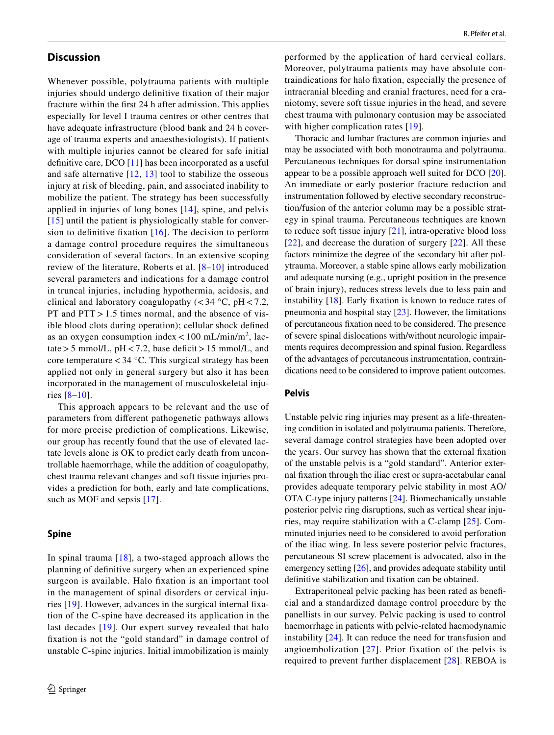## **Discussion**

Whenever possible, polytrauma patients with multiple injuries should undergo defnitive fxation of their major fracture within the frst 24 h after admission. This applies especially for level I trauma centres or other centres that have adequate infrastructure (blood bank and 24 h coverage of trauma experts and anaesthesiologists). If patients with multiple injuries cannot be cleared for safe initial defnitive care, DCO [[11](#page-9-9)] has been incorporated as a useful and safe alternative  $[12, 13]$  $[12, 13]$  $[12, 13]$  tool to stabilize the osseous injury at risk of bleeding, pain, and associated inability to mobilize the patient. The strategy has been successfully applied in injuries of long bones [\[14\]](#page-9-12), spine, and pelvis [[15\]](#page-9-13) until the patient is physiologically stable for conversion to definitive fixation  $[16]$  $[16]$  $[16]$ . The decision to perform a damage control procedure requires the simultaneous consideration of several factors. In an extensive scoping review of the literature, Roberts et al. [[8](#page-9-6)[–10\]](#page-9-8) introduced several parameters and indications for a damage control in truncal injuries, including hypothermia, acidosis, and clinical and laboratory coagulopathy  $( $34$  °C, pH  $7.2$ ,$ PT and PTT > 1.5 times normal, and the absence of visible blood clots during operation); cellular shock defned as an oxygen consumption index  $<$  100 mL/min/m<sup>2</sup>, lactate > 5 mmol/L,  $pH < 7.2$ , base deficit > 15 mmol/L, and core temperature  $<$  34 °C. This surgical strategy has been applied not only in general surgery but also it has been incorporated in the management of musculoskeletal injuries [\[8–](#page-9-6)[10](#page-9-8)].

This approach appears to be relevant and the use of parameters from diferent pathogenetic pathways allows for more precise prediction of complications. Likewise, our group has recently found that the use of elevated lactate levels alone is OK to predict early death from uncontrollable haemorrhage, while the addition of coagulopathy, chest trauma relevant changes and soft tissue injuries provides a prediction for both, early and late complications, such as MOF and sepsis [\[17\]](#page-9-15).

#### **Spine**

In spinal trauma [\[18](#page-9-16)], a two-staged approach allows the planning of defnitive surgery when an experienced spine surgeon is available. Halo fxation is an important tool in the management of spinal disorders or cervical injuries [\[19\]](#page-9-17). However, advances in the surgical internal fxation of the C-spine have decreased its application in the last decades [[19\]](#page-9-17). Our expert survey revealed that halo fxation is not the "gold standard" in damage control of unstable C-spine injuries. Initial immobilization is mainly

performed by the application of hard cervical collars. Moreover, polytrauma patients may have absolute contraindications for halo fxation, especially the presence of intracranial bleeding and cranial fractures, need for a craniotomy, severe soft tissue injuries in the head, and severe chest trauma with pulmonary contusion may be associated with higher complication rates [[19\]](#page-9-17).

Thoracic and lumbar fractures are common injuries and may be associated with both monotrauma and polytrauma. Percutaneous techniques for dorsal spine instrumentation appear to be a possible approach well suited for DCO [\[20](#page-9-18)]. An immediate or early posterior fracture reduction and instrumentation followed by elective secondary reconstruction/fusion of the anterior column may be a possible strategy in spinal trauma. Percutaneous techniques are known to reduce soft tissue injury [\[21\]](#page-9-19), intra-operative blood loss [[22\]](#page-9-20), and decrease the duration of surgery [\[22\]](#page-9-20). All these factors minimize the degree of the secondary hit after polytrauma. Moreover, a stable spine allows early mobilization and adequate nursing (e.g., upright position in the presence of brain injury), reduces stress levels due to less pain and instability [[18](#page-9-16)]. Early fxation is known to reduce rates of pneumonia and hospital stay [[23\]](#page-9-21). However, the limitations of percutaneous fxation need to be considered. The presence of severe spinal dislocations with/without neurologic impairments requires decompression and spinal fusion. Regardless of the advantages of percutaneous instrumentation, contraindications need to be considered to improve patient outcomes.

#### **Pelvis**

Unstable pelvic ring injuries may present as a life-threatening condition in isolated and polytrauma patients. Therefore, several damage control strategies have been adopted over the years. Our survey has shown that the external fxation of the unstable pelvis is a "gold standard". Anterior external fxation through the iliac crest or supra-acetabular canal provides adequate temporary pelvic stability in most AO/ OTA C-type injury patterns [\[24](#page-9-22)]. Biomechanically unstable posterior pelvic ring disruptions, such as vertical shear injuries, may require stabilization with a C-clamp [[25](#page-9-23)]. Comminuted injuries need to be considered to avoid perforation of the iliac wing. In less severe posterior pelvic fractures, percutaneous SI screw placement is advocated, also in the emergency setting [[26\]](#page-9-24), and provides adequate stability until defnitive stabilization and fxation can be obtained.

Extraperitoneal pelvic packing has been rated as benefcial and a standardized damage control procedure by the panellists in our survey. Pelvic packing is used to control haemorrhage in patients with pelvic-related haemodynamic instability [[24\]](#page-9-22). It can reduce the need for transfusion and angioembolization [\[27](#page-9-25)]. Prior fixation of the pelvis is required to prevent further displacement [[28](#page-9-26)]. REBOA is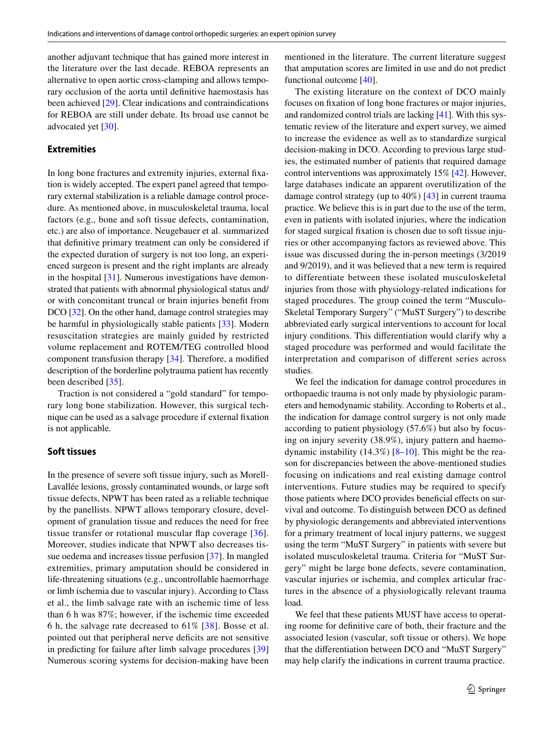another adjuvant technique that has gained more interest in the literature over the last decade. REBOA represents an alternative to open aortic cross-clamping and allows temporary occlusion of the aorta until defnitive haemostasis has been achieved [\[29](#page-9-27)]. Clear indications and contraindications for REBOA are still under debate. Its broad use cannot be advocated yet [[30](#page-9-28)].

#### **Extremities**

In long bone fractures and extremity injuries, external fxation is widely accepted. The expert panel agreed that temporary external stabilization is a reliable damage control procedure. As mentioned above, in musculoskeletal trauma, local factors (e.g., bone and soft tissue defects, contamination, etc.) are also of importance. Neugebauer et al. summarized that defnitive primary treatment can only be considered if the expected duration of surgery is not too long, an experienced surgeon is present and the right implants are already in the hospital  $[31]$  $[31]$ . Numerous investigations have demonstrated that patients with abnormal physiological status and/ or with concomitant truncal or brain injuries beneft from DCO [\[32](#page-10-0)]. On the other hand, damage control strategies may be harmful in physiologically stable patients [\[33](#page-10-1)]. Modern resuscitation strategies are mainly guided by restricted volume replacement and ROTEM/TEG controlled blood component transfusion therapy [[34\]](#page-10-2). Therefore, a modifed description of the borderline polytrauma patient has recently been described [\[35](#page-10-3)].

Traction is not considered a "gold standard" for temporary long bone stabilization. However, this surgical technique can be used as a salvage procedure if external fxation is not applicable.

## **Soft tissues**

In the presence of severe soft tissue injury, such as Morell-Lavallée lesions, grossly contaminated wounds, or large soft tissue defects, NPWT has been rated as a reliable technique by the panellists. NPWT allows temporary closure, development of granulation tissue and reduces the need for free tissue transfer or rotational muscular flap coverage  $[36]$  $[36]$  $[36]$ . Moreover, studies indicate that NPWT also decreases tissue oedema and increases tissue perfusion [[37\]](#page-10-5). In mangled extremities, primary amputation should be considered in life-threatening situations (e.g., uncontrollable haemorrhage or limb ischemia due to vascular injury). According to Class et al., the limb salvage rate with an ischemic time of less than 6 h was 87%; however, if the ischemic time exceeded 6 h, the salvage rate decreased to 61% [\[38\]](#page-10-6). Bosse et al. pointed out that peripheral nerve defcits are not sensitive in predicting for failure after limb salvage procedures [[39\]](#page-10-7) Numerous scoring systems for decision-making have been mentioned in the literature. The current literature suggest that amputation scores are limited in use and do not predict functional outcome [\[40](#page-10-8)].

The existing literature on the context of DCO mainly focuses on fxation of long bone fractures or major injuries, and randomized control trials are lacking [\[41](#page-10-9)]. With this systematic review of the literature and expert survey, we aimed to increase the evidence as well as to standardize surgical decision-making in DCO. According to previous large studies, the estimated number of patients that required damage control interventions was approximately 15% [[42\]](#page-10-10). However, large databases indicate an apparent overutilization of the damage control strategy (up to 40%) [[43\]](#page-10-11) in current trauma practice. We believe this is in part due to the use of the term, even in patients with isolated injuries, where the indication for staged surgical fxation is chosen due to soft tissue injuries or other accompanying factors as reviewed above. This issue was discussed during the in-person meetings (3/2019 and 9/2019), and it was believed that a new term is required to differentiate between these isolated musculoskeletal injuries from those with physiology-related indications for staged procedures. The group coined the term "Musculo-Skeletal Temporary Surgery" ("MuST Surgery") to describe abbreviated early surgical interventions to account for local injury conditions. This diferentiation would clarify why a staged procedure was performed and would facilitate the interpretation and comparison of diferent series across studies.

We feel the indication for damage control procedures in orthopaedic trauma is not only made by physiologic parameters and hemodynamic stability. According to Roberts et al., the indication for damage control surgery is not only made according to patient physiology (57.6%) but also by focusing on injury severity (38.9%), injury pattern and haemodynamic instability  $(14.3\%)$  [\[8](#page-9-6)[–10](#page-9-8)]. This might be the reason for discrepancies between the above-mentioned studies focusing on indications and real existing damage control interventions. Future studies may be required to specify those patients where DCO provides beneficial effects on survival and outcome. To distinguish between DCO as defned by physiologic derangements and abbreviated interventions for a primary treatment of local injury patterns, we suggest using the term "MuST Surgery" in patients with severe but isolated musculoskeletal trauma. Criteria for "MuST Surgery" might be large bone defects, severe contamination, vascular injuries or ischemia, and complex articular fractures in the absence of a physiologically relevant trauma load.

We feel that these patients MUST have access to operating roome for defnitive care of both, their fracture and the associated lesion (vascular, soft tissue or others). We hope that the diferentiation between DCO and "MuST Surgery" may help clarify the indications in current trauma practice.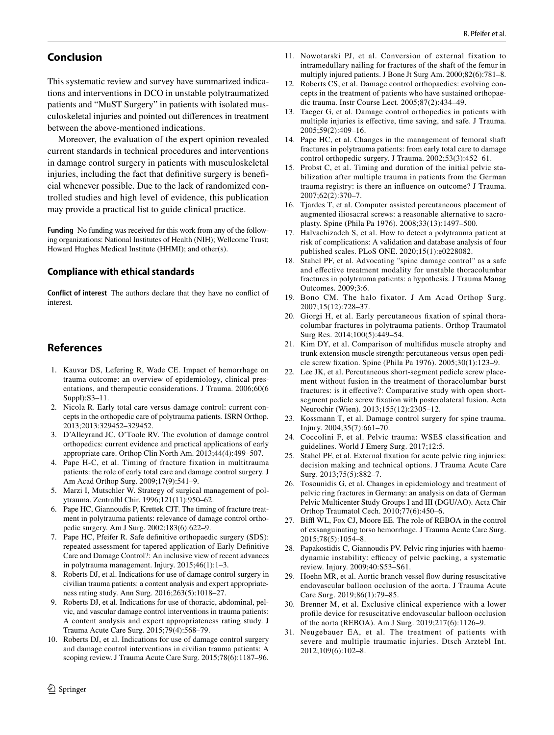# **Conclusion**

This systematic review and survey have summarized indications and interventions in DCO in unstable polytraumatized patients and "MuST Surgery" in patients with isolated musculoskeletal injuries and pointed out diferences in treatment between the above-mentioned indications.

Moreover, the evaluation of the expert opinion revealed current standards in technical procedures and interventions in damage control surgery in patients with musculoskeletal injuries, including the fact that defnitive surgery is benefcial whenever possible. Due to the lack of randomized controlled studies and high level of evidence, this publication may provide a practical list to guide clinical practice.

**Funding** No funding was received for this work from any of the following organizations: National Institutes of Health (NIH); Wellcome Trust; Howard Hughes Medical Institute (HHMI); and other(s).

#### **Compliance with ethical standards**

**Conflict of interest** The authors declare that they have no confict of interest.

## **References**

- <span id="page-9-0"></span>1. Kauvar DS, Lefering R, Wade CE. Impact of hemorrhage on trauma outcome: an overview of epidemiology, clinical presentations, and therapeutic considerations. J Trauma. 2006;60(6 Suppl):S3–11.
- <span id="page-9-1"></span>2. Nicola R. Early total care versus damage control: current concepts in the orthopedic care of polytrauma patients. ISRN Orthop. 2013;2013:329452–329452.
- 3. D'Alleyrand JC, O'Toole RV. The evolution of damage control orthopedics: current evidence and practical applications of early appropriate care. Orthop Clin North Am. 2013;44(4):499–507.
- <span id="page-9-2"></span>4. Pape H-C, et al. Timing of fracture fixation in multitrauma patients: the role of early total care and damage control surgery. J Am Acad Orthop Surg. 2009;17(9):541–9.
- <span id="page-9-3"></span>5. Marzi I, Mutschler W. Strategy of surgical management of polytrauma. Zentralbl Chir. 1996;121(11):950–62.
- <span id="page-9-4"></span>6. Pape HC, Giannoudis P, Krettek CJT. The timing of fracture treatment in polytrauma patients: relevance of damage control orthopedic surgery. Am J Surg. 2002;183(6):622–9.
- <span id="page-9-5"></span>7. Pape HC, Pfeifer R. Safe defnitive orthopaedic surgery (SDS): repeated assessment for tapered application of Early Defnitive Care and Damage Control?: An inclusive view of recent advances in polytrauma management. Injury. 2015;46(1):1–3.
- <span id="page-9-6"></span>8. Roberts DJ, et al. Indications for use of damage control surgery in civilian trauma patients: a content analysis and expert appropriateness rating study. Ann Surg. 2016;263(5):1018–27.
- <span id="page-9-7"></span>Roberts DJ, et al. Indications for use of thoracic, abdominal, pelvic, and vascular damage control interventions in trauma patients: A content analysis and expert appropriateness rating study. J Trauma Acute Care Surg. 2015;79(4):568–79.
- <span id="page-9-8"></span>10. Roberts DJ, et al. Indications for use of damage control surgery and damage control interventions in civilian trauma patients: A scoping review. J Trauma Acute Care Surg. 2015;78(6):1187–96.
- <span id="page-9-9"></span>11. Nowotarski PJ, et al. Conversion of external fixation to intramedullary nailing for fractures of the shaft of the femur in multiply injured patients. J Bone Jt Surg Am. 2000;82(6):781–8.
- <span id="page-9-10"></span>12. Roberts CS, et al. Damage control orthopaedics: evolving concepts in the treatment of patients who have sustained orthopaedic trauma. Instr Course Lect. 2005;87(2):434–49.
- <span id="page-9-11"></span>13. Taeger G, et al. Damage control orthopedics in patients with multiple injuries is efective, time saving, and safe. J Trauma. 2005;59(2):409–16.
- <span id="page-9-12"></span>14. Pape HC, et al. Changes in the management of femoral shaft fractures in polytrauma patients: from early total care to damage control orthopedic surgery. J Trauma. 2002;53(3):452–61.
- <span id="page-9-13"></span>15. Probst C, et al. Timing and duration of the initial pelvic stabilization after multiple trauma in patients from the German trauma registry: is there an infuence on outcome? J Trauma. 2007;62(2):370–7.
- <span id="page-9-14"></span>16. Tjardes T, et al. Computer assisted percutaneous placement of augmented iliosacral screws: a reasonable alternative to sacroplasty. Spine (Phila Pa 1976). 2008;33(13):1497–500.
- <span id="page-9-15"></span>17. Halvachizadeh S, et al. How to detect a polytrauma patient at risk of complications: A validation and database analysis of four published scales. PLoS ONE. 2020;15(1):e0228082.
- <span id="page-9-16"></span>18. Stahel PF, et al. Advocating "spine damage control" as a safe and efective treatment modality for unstable thoracolumbar fractures in polytrauma patients: a hypothesis. J Trauma Manag Outcomes. 2009;3:6.
- <span id="page-9-17"></span>19. Bono CM. The halo fixator. J Am Acad Orthop Surg. 2007;15(12):728–37.
- <span id="page-9-18"></span>20. Giorgi H, et al. Early percutaneous fxation of spinal thoracolumbar fractures in polytrauma patients. Orthop Traumatol Surg Res. 2014;100(5):449–54.
- <span id="page-9-19"></span>21. Kim DY, et al. Comparison of multifdus muscle atrophy and trunk extension muscle strength: percutaneous versus open pedicle screw fxation. Spine (Phila Pa 1976). 2005;30(1):123–9.
- <span id="page-9-20"></span>22. Lee JK, et al. Percutaneous short-segment pedicle screw placement without fusion in the treatment of thoracolumbar burst fractures: is it efective?: Comparative study with open shortsegment pedicle screw fxation with posterolateral fusion. Acta Neurochir (Wien). 2013;155(12):2305–12.
- <span id="page-9-21"></span>23. Kossmann T, et al. Damage control surgery for spine trauma. Injury. 2004;35(7):661–70.
- <span id="page-9-22"></span>24. Coccolini F, et al. Pelvic trauma: WSES classifcation and guidelines. World J Emerg Surg. 2017;12:5.
- <span id="page-9-23"></span>25. Stahel PF, et al. External fxation for acute pelvic ring injuries: decision making and technical options. J Trauma Acute Care Surg. 2013;75(5):882–7.
- <span id="page-9-24"></span>26. Tosounidis G, et al. Changes in epidemiology and treatment of pelvic ring fractures in Germany: an analysis on data of German Pelvic Multicenter Study Groups I and III (DGU/AO). Acta Chir Orthop Traumatol Cech. 2010;77(6):450–6.
- <span id="page-9-25"></span>27. Biffl WL, Fox CJ, Moore EE. The role of REBOA in the control of exsanguinating torso hemorrhage. J Trauma Acute Care Surg. 2015;78(5):1054–8.
- <span id="page-9-26"></span>28. Papakostidis C, Giannoudis PV. Pelvic ring injuries with haemodynamic instability: efficacy of pelvic packing, a systematic review. Injury. 2009;40:S53–S61.
- <span id="page-9-27"></span>29. Hoehn MR, et al. Aortic branch vessel flow during resuscitative endovascular balloon occlusion of the aorta. J Trauma Acute Care Surg. 2019;86(1):79–85.
- <span id="page-9-28"></span>30. Brenner M, et al. Exclusive clinical experience with a lower profle device for resuscitative endovascular balloon occlusion of the aorta (REBOA). Am J Surg. 2019;217(6):1126–9.
- <span id="page-9-29"></span>31. Neugebauer EA, et al. The treatment of patients with severe and multiple traumatic injuries. Dtsch Arztebl Int. 2012;109(6):102–8.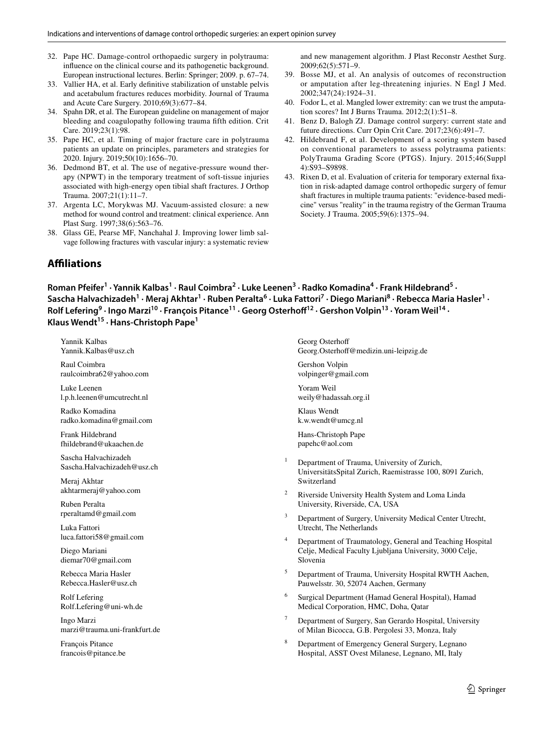- <span id="page-10-0"></span>32. Pape HC. Damage-control orthopaedic surgery in polytrauma: infuence on the clinical course and its pathogenetic background. European instructional lectures. Berlin: Springer; 2009. p. 67–74.
- <span id="page-10-1"></span>33. Vallier HA, et al. Early defnitive stabilization of unstable pelvis and acetabulum fractures reduces morbidity. Journal of Trauma and Acute Care Surgery. 2010;69(3):677–84.
- <span id="page-10-2"></span>34. Spahn DR, et al. The European guideline on management of major bleeding and coagulopathy following trauma ffth edition. Crit Care. 2019;23(1):98.
- <span id="page-10-3"></span>35. Pape HC, et al. Timing of major fracture care in polytrauma patients an update on principles, parameters and strategies for 2020. Injury. 2019;50(10):1656–70.
- <span id="page-10-4"></span>36. Dedmond BT, et al. The use of negative-pressure wound therapy (NPWT) in the temporary treatment of soft-tissue injuries associated with high-energy open tibial shaft fractures. J Orthop Trauma. 2007;21(1):11–7.
- <span id="page-10-5"></span>37. Argenta LC, Morykwas MJ. Vacuum-assisted closure: a new method for wound control and treatment: clinical experience. Ann Plast Surg. 1997;38(6):563–76.
- <span id="page-10-6"></span>38. Glass GE, Pearse MF, Nanchahal J. Improving lower limb salvage following fractures with vascular injury: a systematic review

and new management algorithm. J Plast Reconstr Aesthet Surg. 2009;62(5):571–9.

- <span id="page-10-7"></span>39. Bosse MJ, et al. An analysis of outcomes of reconstruction or amputation after leg-threatening injuries. N Engl J Med. 2002;347(24):1924–31.
- <span id="page-10-8"></span>40. Fodor L, et al. Mangled lower extremity: can we trust the amputation scores? Int J Burns Trauma. 2012;2(1):51–8.
- <span id="page-10-9"></span>41. Benz D, Balogh ZJ. Damage control surgery: current state and future directions. Curr Opin Crit Care. 2017;23(6):491–7.
- <span id="page-10-10"></span>42. Hildebrand F, et al. Development of a scoring system based on conventional parameters to assess polytrauma patients: PolyTrauma Grading Score (PTGS). Injury. 2015;46(Suppl 4):S93–S9898.
- <span id="page-10-11"></span>43. Rixen D, et al. Evaluation of criteria for temporary external fxation in risk-adapted damage control orthopedic surgery of femur shaft fractures in multiple trauma patients: "evidence-based medicine" versus "reality" in the trauma registry of the German Trauma Society. J Trauma. 2005;59(6):1375–94.

# **Afliations**

Roman Pfeifer<sup>1</sup> · Yannik Kalbas<sup>1</sup> · Raul Coimbra<sup>2</sup> · Luke Leenen<sup>3</sup> · Radko Komadina<sup>4</sup> · Frank Hildebrand<sup>5</sup> · Sascha Halvachizadeh<sup>1</sup> · Meraj Akhtar<sup>1</sup> · Ruben Peralta<sup>6</sup> · Luka Fattori<sup>7</sup> · Diego Mariani<sup>8</sup> · Rebecca Maria Hasler<sup>1</sup> · Rolf Lefering<sup>9</sup> · Ingo Marzi<sup>10</sup> · François Pitance<sup>11</sup> · Georg Osterhoff<sup>12</sup> · Gershon Volpin<sup>13</sup> · Yoram Weil<sup>14</sup> · **Klaus Wendt15 · Hans‑Christoph Pape1**

Yannik Kalbas Yannik.Kalbas@usz.ch

Raul Coimbra raulcoimbra62@yahoo.com

Luke Leenen l.p.h.leenen@umcutrecht.nl

Radko Komadina radko.komadina@gmail.com

Frank Hildebrand fhildebrand@ukaachen.de

Sascha Halvachizadeh Sascha.Halvachizadeh@usz.ch

Meraj Akhtar akhtarmeraj@yahoo.com

Ruben Peralta rperaltamd@gmail.com

Luka Fattori luca.fattori58@gmail.com

Diego Mariani diemar70@gmail.com

Rebecca Maria Hasler Rebecca.Hasler@usz.ch

Rolf Lefering Rolf.Lefering@uni-wh.de

Ingo Marzi marzi@trauma.uni-frankfurt.de

François Pitance francois@pitance.be Georg Osterhof Georg.Osterhoff@medizin.uni-leipzig.de

Gershon Volpin volpinger@gmail.com

Yoram Weil weily@hadassah.org.il

Klaus Wendt k.w.wendt@umcg.nl

Hans-Christoph Pape papehc@aol.com

- <sup>1</sup> Department of Trauma, University of Zurich, UniversitätsSpital Zurich, Raemistrasse 100, 8091 Zurich, Switzerland
- <sup>2</sup> Riverside University Health System and Loma Linda University, Riverside, CA, USA
- Department of Surgery, University Medical Center Utrecht, Utrecht, The Netherlands
- <sup>4</sup> Department of Traumatology, General and Teaching Hospital Celje, Medical Faculty Ljubljana University, 3000 Celje, Slovenia
- <sup>5</sup> Department of Trauma, University Hospital RWTH Aachen, Pauwelsstr. 30, 52074 Aachen, Germany
- <sup>6</sup> Surgical Department (Hamad General Hospital), Hamad Medical Corporation, HMC, Doha, Qatar
- <sup>7</sup> Department of Surgery, San Gerardo Hospital, University of Milan Bicocca, G.B. Pergolesi 33, Monza, Italy
- <sup>8</sup> Department of Emergency General Surgery, Legnano Hospital, ASST Ovest Milanese, Legnano, MI, Italy